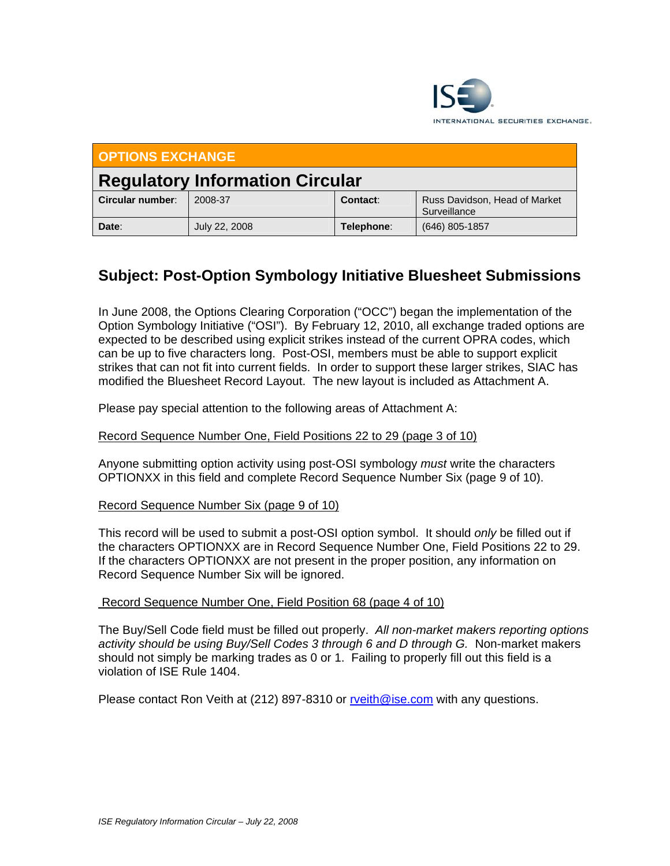

| <b>OPTIONS EXCHANGE</b>                |               |            |                                               |  |  |  |  |  |
|----------------------------------------|---------------|------------|-----------------------------------------------|--|--|--|--|--|
| <b>Regulatory Information Circular</b> |               |            |                                               |  |  |  |  |  |
| Circular number:                       | 2008-37       | Contact:   | Russ Davidson, Head of Market<br>Surveillance |  |  |  |  |  |
| Date:                                  | July 22, 2008 | Telephone: | $(646)$ 805-1857                              |  |  |  |  |  |

# **Subject: Post-Option Symbology Initiative Bluesheet Submissions**

In June 2008, the Options Clearing Corporation ("OCC") began the implementation of the Option Symbology Initiative ("OSI"). By February 12, 2010, all exchange traded options are expected to be described using explicit strikes instead of the current OPRA codes, which can be up to five characters long. Post-OSI, members must be able to support explicit strikes that can not fit into current fields. In order to support these larger strikes, SIAC has modified the Bluesheet Record Layout. The new layout is included as Attachment A.

Please pay special attention to the following areas of Attachment A:

#### Record Sequence Number One, Field Positions 22 to 29 (page 3 of 10)

Anyone submitting option activity using post-OSI symbology *must* write the characters OPTIONXX in this field and complete Record Sequence Number Six (page 9 of 10).

#### Record Sequence Number Six (page 9 of 10)

This record will be used to submit a post-OSI option symbol. It should *only* be filled out if the characters OPTIONXX are in Record Sequence Number One, Field Positions 22 to 29. If the characters OPTIONXX are not present in the proper position, any information on Record Sequence Number Six will be ignored.

#### Record Sequence Number One, Field Position 68 (page 4 of 10)

The Buy/Sell Code field must be filled out properly. *All non-market makers reporting options activity should be using Buy/Sell Codes 3 through 6 and D through G.* Non-market makers should not simply be marking trades as 0 or 1. Failing to properly fill out this field is a violation of ISE Rule 1404.

Please contact Ron Veith at (212) 897-8310 or rveith@ise.com with any questions.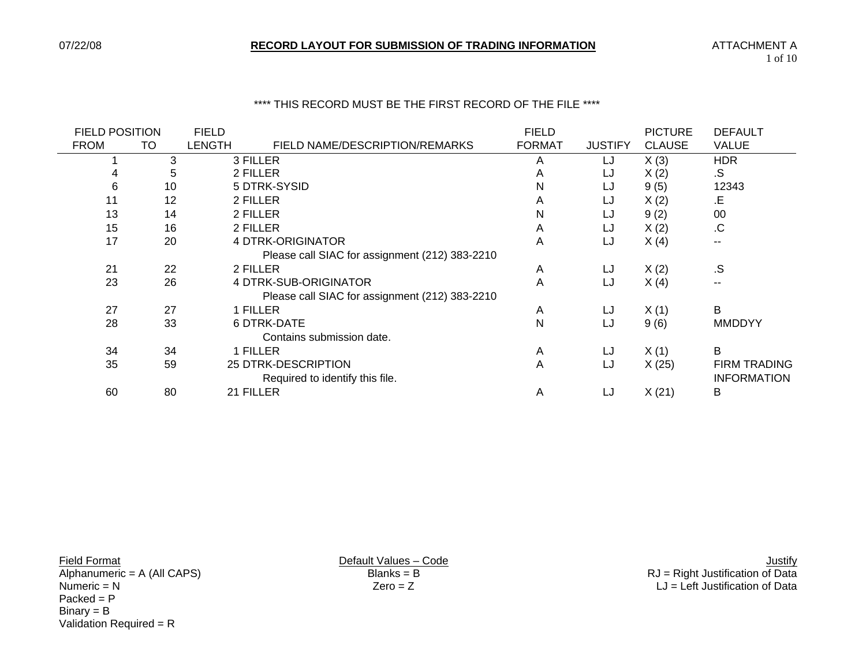#### \*\*\*\* THIS RECORD MUST BE THE FIRST RECORD OF THE FILE \*\*\*\*

| <b>FIELD POSITION</b> |    | <b>FIELD</b> |                                                | <b>FIELD</b>  |                | <b>PICTURE</b> | <b>DEFAULT</b>      |
|-----------------------|----|--------------|------------------------------------------------|---------------|----------------|----------------|---------------------|
| <b>FROM</b>           | TO | LENGTH       | FIELD NAME/DESCRIPTION/REMARKS                 | <b>FORMAT</b> | <b>JUSTIFY</b> | <b>CLAUSE</b>  | VALUE               |
|                       | 3  |              | 3 FILLER                                       | A             | LJ             | X(3)           | <b>HDR</b>          |
|                       | 5  |              | 2 FILLER                                       | A             | LJ             | X(2)           | .S                  |
| 6                     | 10 |              | 5 DTRK-SYSID                                   | N             | LJ             | 9(5)           | 12343               |
| 11                    | 12 |              | 2 FILLER                                       | A             | LJ             | X(2)           | .E                  |
| 13                    | 14 |              | 2 FILLER                                       | N             | LJ             | 9(2)           | 00                  |
| 15                    | 16 |              | 2 FILLER                                       | A             | LJ             | X(2)           | .C                  |
| 17                    | 20 |              | 4 DTRK-ORIGINATOR                              | A             | LJ             | X(4)           | --                  |
|                       |    |              | Please call SIAC for assignment (212) 383-2210 |               |                |                |                     |
| 21                    | 22 |              | 2 FILLER                                       | A             | LJ             | X(2)           | .S                  |
| 23                    | 26 |              | 4 DTRK-SUB-ORIGINATOR                          | A             | LJ             | X(4)           | --                  |
|                       |    |              | Please call SIAC for assignment (212) 383-2210 |               |                |                |                     |
| 27                    | 27 |              | 1 FILLER                                       | A             | LJ             | X(1)           | B                   |
| 28                    | 33 |              | <b>6 DTRK-DATE</b>                             | N             | LJ             | 9(6)           | <b>MMDDYY</b>       |
|                       |    |              | Contains submission date.                      |               |                |                |                     |
| 34                    | 34 |              | 1 FILLER                                       | A             | LJ             | X(1)           | B                   |
| 35                    | 59 |              | 25 DTRK-DESCRIPTION                            | A             | LJ             | X(25)          | <b>FIRM TRADING</b> |
|                       |    |              | Required to identify this file.                |               |                |                | <b>INFORMATION</b>  |
| 60                    | 80 |              | 21 FILLER                                      | A             | LJ             | X(21)          | В                   |
|                       |    |              |                                                |               |                |                |                     |

Lives – Code<br>
Manumeric = A (All CAPS) Default Values – Code<br>
Blanks = B<br>
Blanks = B<br>
Default Values – Code<br>
Default Values – Code<br>
Blanks = B<br>
Default Values – Code<br>
Default Values – Code<br>
Default Values – Code<br>
Default V Packed = P Binary = B Validation Required =  $R$ 

Alphanumeric = A (All CAPS) Blanks = B RJ = Right Justification of Data Numeric = N Zero = Z LJ = Left Justification of Data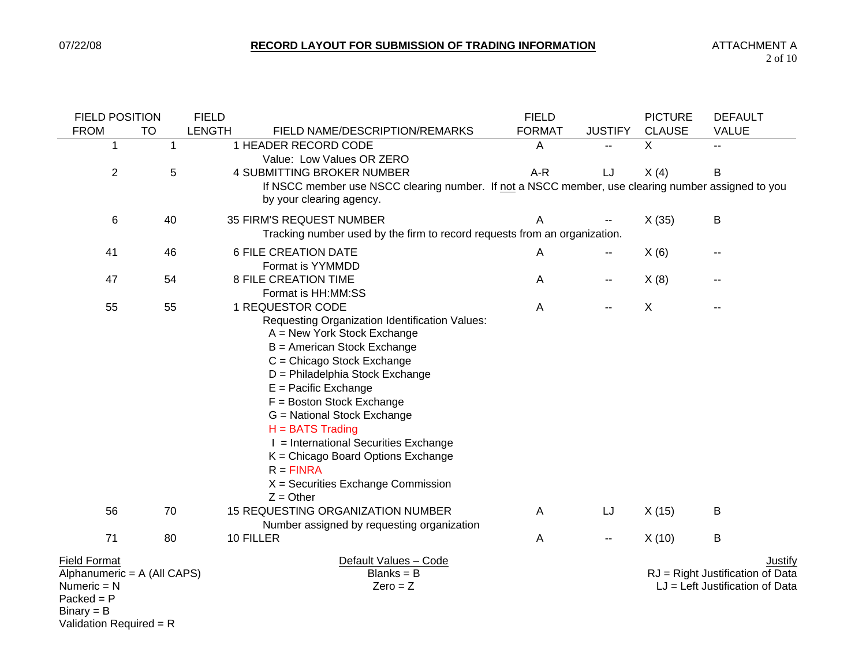| <b>FIELD POSITION</b>                                                                               |                | <b>FIELD</b>  |                                                                                                                                                                                                                                                                                                                                                                                                                                                | <b>FIELD</b>  |                | <b>PICTURE</b> | <b>DEFAULT</b>                                                                          |
|-----------------------------------------------------------------------------------------------------|----------------|---------------|------------------------------------------------------------------------------------------------------------------------------------------------------------------------------------------------------------------------------------------------------------------------------------------------------------------------------------------------------------------------------------------------------------------------------------------------|---------------|----------------|----------------|-----------------------------------------------------------------------------------------|
| <b>FROM</b>                                                                                         | <b>TO</b>      | <b>LENGTH</b> | FIELD NAME/DESCRIPTION/REMARKS                                                                                                                                                                                                                                                                                                                                                                                                                 | <b>FORMAT</b> | <b>JUSTIFY</b> | <b>CLAUSE</b>  | <b>VALUE</b>                                                                            |
| 1                                                                                                   | $\overline{1}$ |               | 1 HEADER RECORD CODE<br>Value: Low Values OR ZERO                                                                                                                                                                                                                                                                                                                                                                                              | Α             |                | X              | $-1$                                                                                    |
| $\overline{c}$                                                                                      | 5              |               | <b>4 SUBMITTING BROKER NUMBER</b>                                                                                                                                                                                                                                                                                                                                                                                                              | $A-R$         | LJ             | X(4)           | B                                                                                       |
|                                                                                                     |                |               | If NSCC member use NSCC clearing number. If not a NSCC member, use clearing number assigned to you<br>by your clearing agency.                                                                                                                                                                                                                                                                                                                 |               |                |                |                                                                                         |
| 6                                                                                                   | 40             |               | 35 FIRM'S REQUEST NUMBER                                                                                                                                                                                                                                                                                                                                                                                                                       | A             |                | X(35)          | В                                                                                       |
|                                                                                                     |                |               | Tracking number used by the firm to record requests from an organization.                                                                                                                                                                                                                                                                                                                                                                      |               |                |                |                                                                                         |
| 41                                                                                                  | 46             |               | <b>6 FILE CREATION DATE</b>                                                                                                                                                                                                                                                                                                                                                                                                                    | Α             | ۰.             | X(6)           |                                                                                         |
|                                                                                                     |                |               | Format is YYMMDD                                                                                                                                                                                                                                                                                                                                                                                                                               |               |                |                |                                                                                         |
| 47                                                                                                  | 54             |               | <b>8 FILE CREATION TIME</b><br>Format is HH:MM:SS                                                                                                                                                                                                                                                                                                                                                                                              | Α             | --             | X(8)           |                                                                                         |
| 55                                                                                                  | 55             |               | 1 REQUESTOR CODE                                                                                                                                                                                                                                                                                                                                                                                                                               | Α             |                | $\sf X$        |                                                                                         |
|                                                                                                     |                |               | Requesting Organization Identification Values:<br>A = New York Stock Exchange<br>B = American Stock Exchange<br>C = Chicago Stock Exchange<br>D = Philadelphia Stock Exchange<br>$E =$ Pacific Exchange<br>F = Boston Stock Exchange<br>G = National Stock Exchange<br>$H = BATS$ Trading<br>I = International Securities Exchange<br>K = Chicago Board Options Exchange<br>$R = FINRA$<br>$X =$ Securities Exchange Commission<br>$Z =$ Other |               |                |                |                                                                                         |
| 56                                                                                                  | 70             |               | 15 REQUESTING ORGANIZATION NUMBER<br>Number assigned by requesting organization                                                                                                                                                                                                                                                                                                                                                                | A             | LJ             | X(15)          | B                                                                                       |
| 71                                                                                                  | 80             |               | 10 FILLER                                                                                                                                                                                                                                                                                                                                                                                                                                      | Α             | н.             | X(10)          | $\sf B$                                                                                 |
| <b>Field Format</b><br>Alphanumeric = A (All CAPS)<br>Numeric $= N$<br>$Packet = P$<br>$Binary = B$ |                |               | Default Values - Code<br>$Blanks = B$<br>$Zero = Z$                                                                                                                                                                                                                                                                                                                                                                                            |               |                |                | <b>Justify</b><br>RJ = Right Justification of Data<br>$LJ = Left$ Justification of Data |

Validation Required = R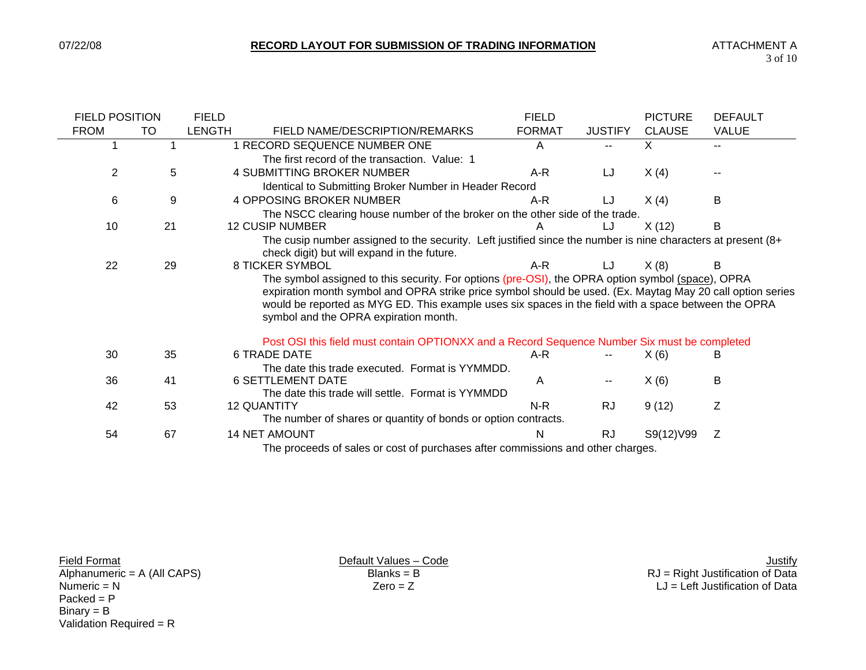| <b>FIELD POSITION</b> |                                                                                 | <b>FIELD</b>  |                                                                                                              | <b>FIELD</b>                                                                 |                | <b>PICTURE</b> | <b>DEFAULT</b> |  |  |  |
|-----------------------|---------------------------------------------------------------------------------|---------------|--------------------------------------------------------------------------------------------------------------|------------------------------------------------------------------------------|----------------|----------------|----------------|--|--|--|
| <b>FROM</b>           | то                                                                              | <b>LENGTH</b> | FIELD NAME/DESCRIPTION/REMARKS                                                                               | <b>FORMAT</b>                                                                | <b>JUSTIFY</b> | <b>CLAUSE</b>  | <b>VALUE</b>   |  |  |  |
|                       |                                                                                 |               | 1 RECORD SEQUENCE NUMBER ONE                                                                                 | A                                                                            |                | X              |                |  |  |  |
|                       |                                                                                 |               | The first record of the transaction. Value: 1                                                                |                                                                              |                |                |                |  |  |  |
| 2                     | 5                                                                               |               | <b>4 SUBMITTING BROKER NUMBER</b>                                                                            | A-R                                                                          | LJ             | X(4)           |                |  |  |  |
|                       |                                                                                 |               | Identical to Submitting Broker Number in Header Record                                                       |                                                                              |                |                |                |  |  |  |
| 6                     | 9                                                                               |               | <b>4 OPPOSING BROKER NUMBER</b>                                                                              | A-R                                                                          | LJ             | X(4)           | В              |  |  |  |
|                       |                                                                                 |               |                                                                                                              | The NSCC clearing house number of the broker on the other side of the trade. |                |                |                |  |  |  |
| 10                    | 21                                                                              |               | <b>12 CUSIP NUMBER</b>                                                                                       |                                                                              | IJ             | X(12)          | B              |  |  |  |
|                       |                                                                                 |               | The cusip number assigned to the security. Left justified since the number is nine characters at present (8+ |                                                                              |                |                |                |  |  |  |
|                       |                                                                                 |               | check digit) but will expand in the future.                                                                  |                                                                              |                |                |                |  |  |  |
| 22                    | 29                                                                              |               | <b>8 TICKER SYMBOL</b>                                                                                       | A-R                                                                          | LJ             | X(8)           | В              |  |  |  |
|                       |                                                                                 |               | The symbol assigned to this security. For options (pre-OSI), the OPRA option symbol (space), OPRA            |                                                                              |                |                |                |  |  |  |
|                       |                                                                                 |               | expiration month symbol and OPRA strike price symbol should be used. (Ex. Maytag May 20 call option series   |                                                                              |                |                |                |  |  |  |
|                       |                                                                                 |               | would be reported as MYG ED. This example uses six spaces in the field with a space between the OPRA         |                                                                              |                |                |                |  |  |  |
|                       |                                                                                 |               | symbol and the OPRA expiration month.                                                                        |                                                                              |                |                |                |  |  |  |
|                       |                                                                                 |               | Post OSI this field must contain OPTIONXX and a Record Sequence Number Six must be completed                 |                                                                              |                |                |                |  |  |  |
| 30                    | 35                                                                              |               | <b>6 TRADE DATE</b>                                                                                          | A-R                                                                          |                | X(6)           | в              |  |  |  |
|                       |                                                                                 |               | The date this trade executed. Format is YYMMDD.                                                              |                                                                              |                |                |                |  |  |  |
| 36                    | 41                                                                              |               | <b>6 SETTLEMENT DATE</b>                                                                                     | A                                                                            |                | X(6)           | Β              |  |  |  |
|                       |                                                                                 |               | The date this trade will settle. Format is YYMMDD                                                            |                                                                              |                |                |                |  |  |  |
| 42                    | 53                                                                              |               | <b>12 QUANTITY</b>                                                                                           | N-R                                                                          | <b>RJ</b>      | 9(12)          | Ζ              |  |  |  |
|                       |                                                                                 |               | The number of shares or quantity of bonds or option contracts.                                               |                                                                              |                |                |                |  |  |  |
| 54                    | 67                                                                              |               | <b>14 NET AMOUNT</b>                                                                                         | N                                                                            | <b>RJ</b>      | S9(12)V99      | Z              |  |  |  |
|                       | The proceeds of sales or cost of purchases after commissions and other charges. |               |                                                                                                              |                                                                              |                |                |                |  |  |  |

 $Packet = P$  $Binary = B$ Validation Required = R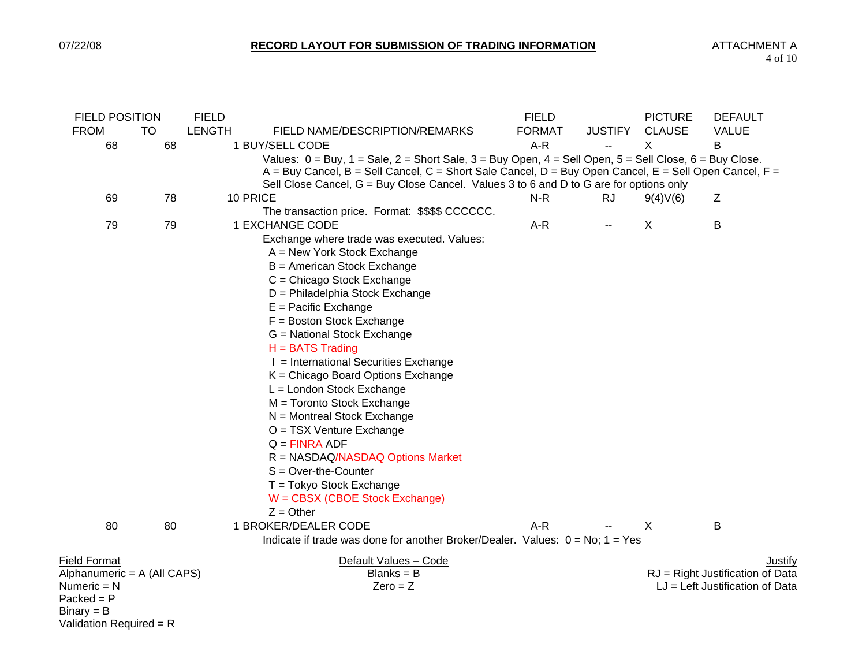| <b>FIELD POSITION</b>       |           | <b>FIELD</b>  |                                                                                                                        | <b>FIELD</b>  |                          | <b>PICTURE</b> | <b>DEFAULT</b>                    |
|-----------------------------|-----------|---------------|------------------------------------------------------------------------------------------------------------------------|---------------|--------------------------|----------------|-----------------------------------|
| <b>FROM</b>                 | <b>TO</b> | <b>LENGTH</b> | FIELD NAME/DESCRIPTION/REMARKS                                                                                         | <b>FORMAT</b> | <b>JUSTIFY</b>           | <b>CLAUSE</b>  | <b>VALUE</b>                      |
| 68                          | 68        |               | 1 BUY/SELL CODE                                                                                                        | $A-R$         | $\overline{a}$           | X              | B                                 |
|                             |           |               | Values: $0 = Buy$ , $1 = Sale$ , $2 = Short$ Sale, $3 = Buy$ Open, $4 = Sell$ Open, $5 = Sell$ Close, $6 = Buy$ Close. |               |                          |                |                                   |
|                             |           |               | $A = Buy$ Cancel, $B = Sell$ Cancel, $C =$ Short Sale Cancel, $D = Buy$ Open Cancel, $E = Sell$ Open Cancel, $F =$     |               |                          |                |                                   |
|                             |           |               | Sell Close Cancel, G = Buy Close Cancel. Values 3 to 6 and D to G are for options only                                 |               |                          |                |                                   |
| 69                          | 78        |               | 10 PRICE                                                                                                               | $N-R$         | <b>RJ</b>                | 9(4)V(6)       | Z                                 |
|                             |           |               | The transaction price. Format: \$\$\$\$ CCCCCC.                                                                        |               |                          |                |                                   |
| 79                          | 79        |               | 1 EXCHANGE CODE                                                                                                        | $A-R$         | $\overline{\phantom{a}}$ | $\times$       | B                                 |
|                             |           |               | Exchange where trade was executed. Values:                                                                             |               |                          |                |                                   |
|                             |           |               | A = New York Stock Exchange                                                                                            |               |                          |                |                                   |
|                             |           |               | B = American Stock Exchange                                                                                            |               |                          |                |                                   |
|                             |           |               | C = Chicago Stock Exchange                                                                                             |               |                          |                |                                   |
|                             |           |               | D = Philadelphia Stock Exchange                                                                                        |               |                          |                |                                   |
|                             |           |               | $E =$ Pacific Exchange                                                                                                 |               |                          |                |                                   |
|                             |           |               | $F = Boston Stock Exchange$                                                                                            |               |                          |                |                                   |
|                             |           |               | G = National Stock Exchange                                                                                            |               |                          |                |                                   |
|                             |           |               | $H = BATS$ Trading                                                                                                     |               |                          |                |                                   |
|                             |           |               | I = International Securities Exchange                                                                                  |               |                          |                |                                   |
|                             |           |               | K = Chicago Board Options Exchange                                                                                     |               |                          |                |                                   |
|                             |           |               | L = London Stock Exchange                                                                                              |               |                          |                |                                   |
|                             |           |               | M = Toronto Stock Exchange                                                                                             |               |                          |                |                                   |
|                             |           |               | $N =$ Montreal Stock Exchange                                                                                          |               |                          |                |                                   |
|                             |           |               | O = TSX Venture Exchange                                                                                               |               |                          |                |                                   |
|                             |           |               | $Q = FINRA$ ADF                                                                                                        |               |                          |                |                                   |
|                             |           |               | R = NASDAQ/NASDAQ Options Market                                                                                       |               |                          |                |                                   |
|                             |           |               | $S = Over-the-Counter$                                                                                                 |               |                          |                |                                   |
|                             |           |               | T = Tokyo Stock Exchange                                                                                               |               |                          |                |                                   |
|                             |           |               | W = CBSX (CBOE Stock Exchange)                                                                                         |               |                          |                |                                   |
|                             |           |               | $Z =$ Other                                                                                                            |               |                          |                |                                   |
| 80                          | 80        |               | 1 BROKER/DEALER CODE                                                                                                   | $A-R$         |                          | X              | B                                 |
|                             |           |               | Indicate if trade was done for another Broker/Dealer. Values: $0 = No$ ; $1 = Yes$                                     |               |                          |                |                                   |
| <b>Field Format</b>         |           |               | Default Values - Code                                                                                                  |               |                          |                | Justify                           |
| Alphanumeric = A (All CAPS) |           |               | $Blanks = B$                                                                                                           |               |                          |                | RJ = Right Justification of Data  |
| Numeric $= N$               |           |               | $Zero = Z$                                                                                                             |               |                          |                | $LJ = Left$ Justification of Data |
| $Packed = P$                |           |               |                                                                                                                        |               |                          |                |                                   |
| $Binary = B$                |           |               |                                                                                                                        |               |                          |                |                                   |
| Validation Required = $R$   |           |               |                                                                                                                        |               |                          |                |                                   |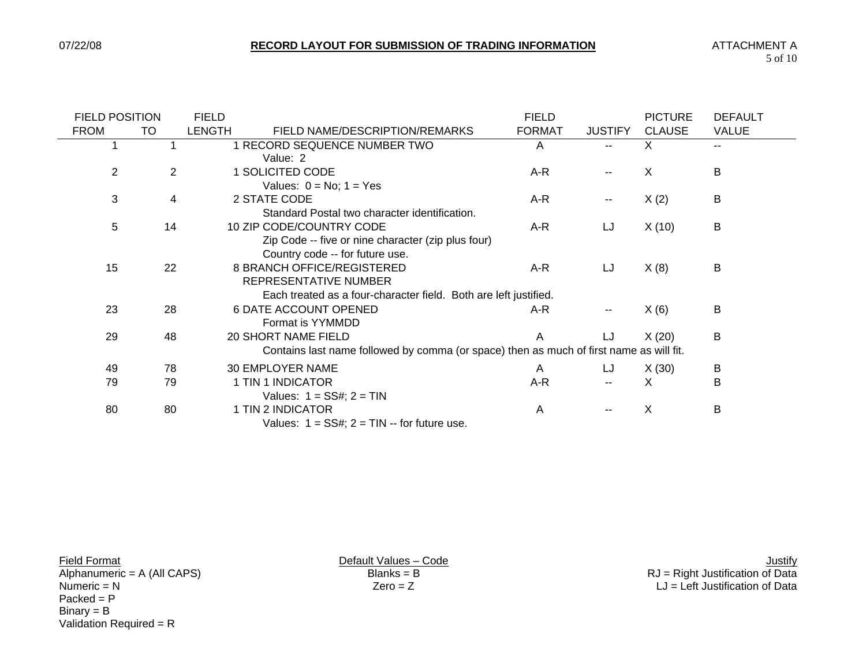$\overline{\phantom{0}}$ 

| <b>FIELD POSITION</b> |                | <b>FIELD</b>  |                                                                                         | <b>FIELD</b>  |                          | <b>PICTURE</b> | <b>DEFAULT</b> |
|-----------------------|----------------|---------------|-----------------------------------------------------------------------------------------|---------------|--------------------------|----------------|----------------|
| <b>FROM</b>           | TO             | <b>LENGTH</b> | FIELD NAME/DESCRIPTION/REMARKS                                                          | <b>FORMAT</b> | <b>JUSTIFY</b>           | <b>CLAUSE</b>  | <b>VALUE</b>   |
|                       |                |               | 1 RECORD SEQUENCE NUMBER TWO                                                            | A             | $\overline{a}$           | X              | --             |
|                       |                |               | Value: 2                                                                                |               |                          |                |                |
| 2                     | $\overline{2}$ |               | 1 SOLICITED CODE                                                                        | A-R           |                          | X              | B              |
|                       |                |               | Values: $0 = No$ ; $1 = Yes$                                                            |               |                          |                |                |
| 3                     | 4              |               | 2 STATE CODE                                                                            | A-R           | $\overline{\phantom{a}}$ | X(2)           | B              |
|                       |                |               | Standard Postal two character identification.                                           |               |                          |                |                |
| 5                     | 14             |               | 10 ZIP CODE/COUNTRY CODE                                                                | $A-R$         | LJ                       | X(10)          | B              |
|                       |                |               | Zip Code -- five or nine character (zip plus four)                                      |               |                          |                |                |
|                       |                |               | Country code -- for future use.                                                         |               |                          |                |                |
| 15                    | 22             |               | 8 BRANCH OFFICE/REGISTERED                                                              | A-R           | LJ                       | X(8)           | B              |
|                       |                |               | REPRESENTATIVE NUMBER                                                                   |               |                          |                |                |
|                       |                |               | Each treated as a four-character field. Both are left justified.                        |               |                          |                |                |
| 23                    | 28             |               | <b>6 DATE ACCOUNT OPENED</b>                                                            | A-R           | $\overline{\phantom{m}}$ | X(6)           | B              |
|                       |                |               | Format is YYMMDD                                                                        |               |                          |                |                |
| 29                    | 48             |               | 20 SHORT NAME FIELD                                                                     | A             | LJ                       | X(20)          | B              |
|                       |                |               | Contains last name followed by comma (or space) then as much of first name as will fit. |               |                          |                |                |
| 49                    | 78             |               | 30 EMPLOYER NAME                                                                        | A             | LJ                       | X(30)          | B              |
| 79                    | 79             |               | 1 TIN 1 INDICATOR                                                                       | A-R           |                          | X              | В              |
|                       |                |               | Values: $1 = SS#$ ; $2 = TIN$                                                           |               |                          |                |                |
| 80                    | 80             |               | 1 TIN 2 INDICATOR                                                                       | A             | $-$                      | X              | B              |
|                       |                |               | Values: $1 = SS#$ ; $2 = TIN -$ for future use.                                         |               |                          |                |                |

 $Packet = P$  $Binary = B$ Validation Required = R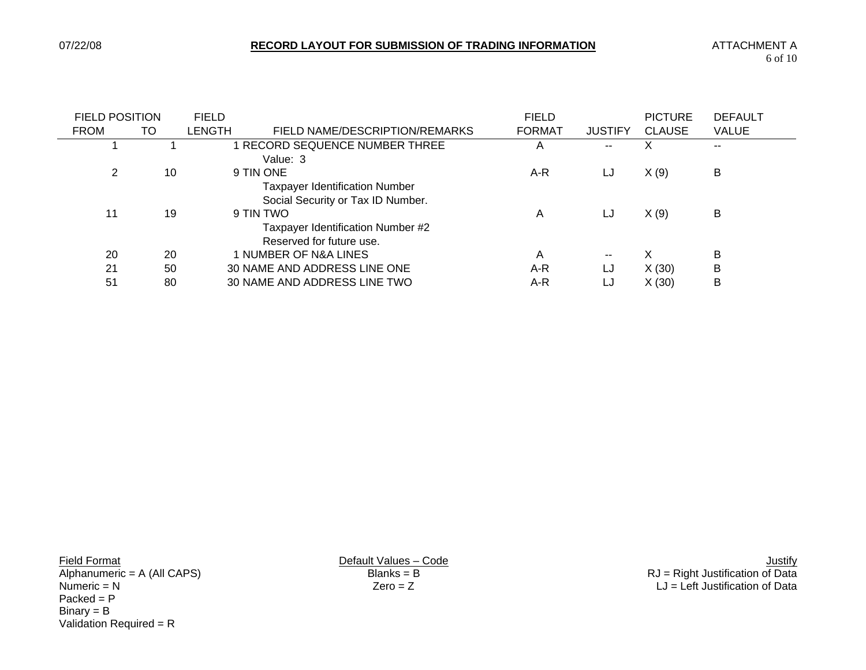| <b>FIELD POSITION</b> |    | <b>FIELD</b> |                                                                                         | <b>FIELD</b>  |                | <b>PICTURE</b> | <b>DEFAULT</b> |
|-----------------------|----|--------------|-----------------------------------------------------------------------------------------|---------------|----------------|----------------|----------------|
| <b>FROM</b>           | TO | LENGTH       | FIELD NAME/DESCRIPTION/REMARKS                                                          | <b>FORMAT</b> | <b>JUSTIFY</b> | <b>CLAUSE</b>  | <b>VALUE</b>   |
|                       |    |              | RECORD SEQUENCE NUMBER THREE<br>Value: 3                                                | A             | --             | X              | $- -$          |
| 2                     | 10 |              | 9 TIN ONE<br><b>Taxpayer Identification Number</b><br>Social Security or Tax ID Number. | A-R           | LJ             | X(9)           | B              |
| 11                    | 19 |              | 9 TIN TWO<br>Taxpayer Identification Number #2<br>Reserved for future use.              | A             | LJ             | X(9)           | B              |
| 20                    | 20 |              | 1 NUMBER OF N&A LINES                                                                   | A             | $\sim$ $\sim$  | X              | В              |
| 21                    | 50 |              | 30 NAME AND ADDRESS LINE ONE                                                            | A-R           | LJ             | X(30)          | B              |
| 51                    | 80 |              | 30 NAME AND ADDRESS LINE TWO                                                            | A-R           | LJ             | X(30)          | B              |

 $Packet = P$  $Binary = B$ Validation Required = R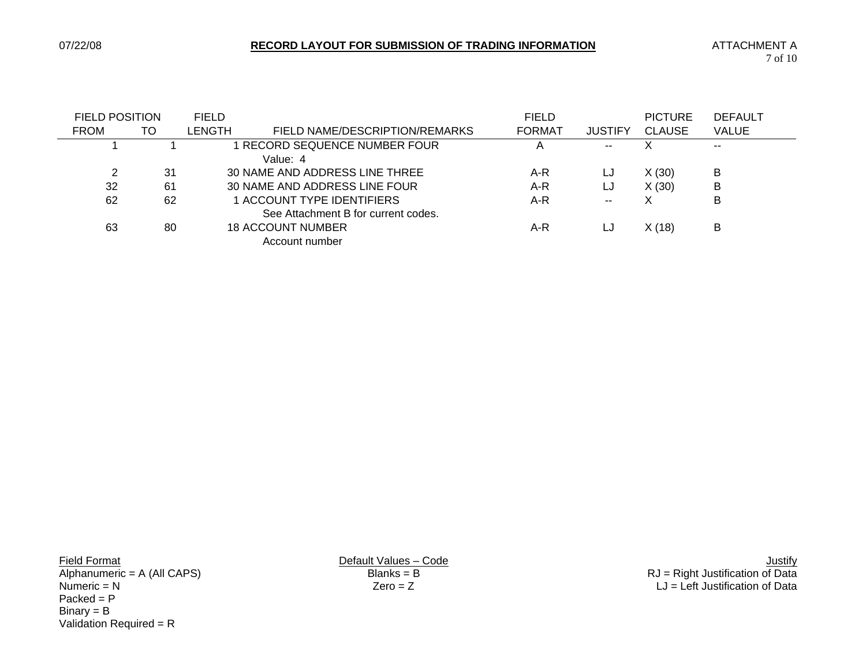| <b>FIELD POSITION</b> |     | <b>FIELD</b> |                                     | <b>FIELD</b>  |                | <b>PICTURE</b> | <b>DEFAULT</b> |
|-----------------------|-----|--------------|-------------------------------------|---------------|----------------|----------------|----------------|
| <b>FROM</b>           | TO  | LENGTH       | FIELD NAME/DESCRIPTION/REMARKS      | <b>FORMAT</b> | <b>JUSTIFY</b> | <b>CLAUSE</b>  | <b>VALUE</b>   |
|                       |     |              | RECORD SEQUENCE NUMBER FOUR         |               | --             |                | --             |
|                       |     |              | Value: 4                            |               |                |                |                |
| 2                     | -31 |              | 30 NAME AND ADDRESS LINE THREE      | $A-R$         | LJ             | X(30)          | в              |
| 32                    | -61 |              | 30 NAME AND ADDRESS LINE FOUR       | A-R           | LJ             | X(30)          | B              |
| 62                    | 62  |              | 1 ACCOUNT TYPE IDENTIFIERS          | $A-R$         | $- -$          |                | B              |
|                       |     |              | See Attachment B for current codes. |               |                |                |                |
| 63                    | 80  |              | <b>18 ACCOUNT NUMBER</b>            | A-R           | LJ             | X(18)          | В              |
|                       |     |              | Account number                      |               |                |                |                |

 $Packet = P$  $Binary = B$ Validation Required = R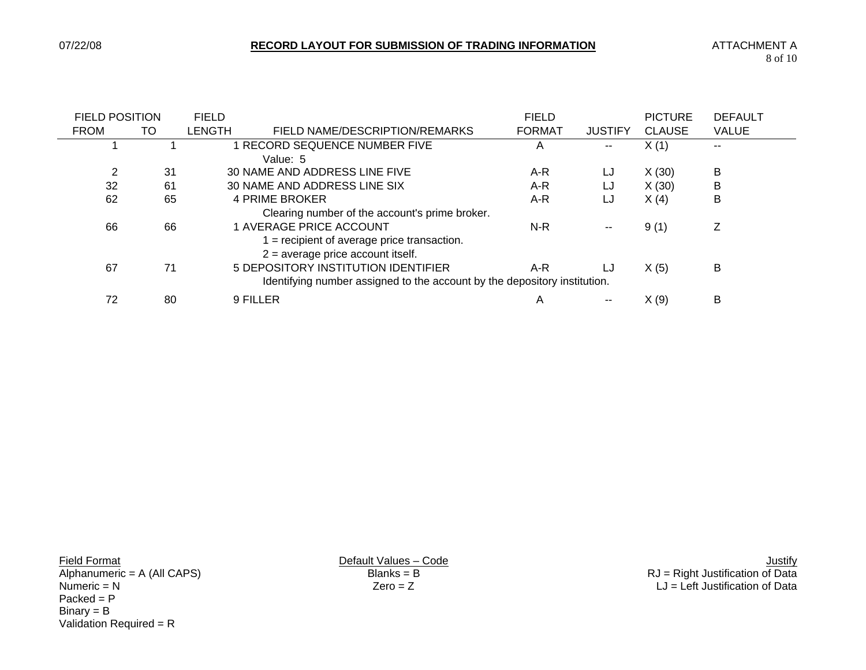| <b>FIELD POSITION</b> |    | <b>FIELD</b> |                                                                           | <b>FIELD</b>  |                          | <b>PICTURE</b> | <b>DEFAULT</b> |
|-----------------------|----|--------------|---------------------------------------------------------------------------|---------------|--------------------------|----------------|----------------|
| <b>FROM</b>           | TO | LENGTH       | FIELD NAME/DESCRIPTION/REMARKS                                            | <b>FORMAT</b> | <b>JUSTIFY</b>           | <b>CLAUSE</b>  | <b>VALUE</b>   |
|                       |    |              | RECORD SEQUENCE NUMBER FIVE                                               | A             | $- -$                    | X(1)           | $- -$          |
|                       |    |              | Value: 5                                                                  |               |                          |                |                |
| 2                     | 31 |              | 30 NAME AND ADDRESS LINE FIVE                                             | A-R           | LJ                       | X(30)          | В              |
| 32                    | 61 |              | 30 NAME AND ADDRESS LINE SIX                                              | $A-R$         | LJ                       | X(30)          | В              |
| 62                    | 65 |              | 4 PRIME BROKER                                                            | A-R           | LJ                       | X(4)           | В              |
|                       |    |              | Clearing number of the account's prime broker.                            |               |                          |                |                |
| 66                    | 66 |              | 1 AVERAGE PRICE ACCOUNT                                                   | N-R           | $\overline{\phantom{a}}$ | 9(1)           | 7              |
|                       |    |              | $=$ recipient of average price transaction.                               |               |                          |                |                |
|                       |    |              | $2$ = average price account itself.                                       |               |                          |                |                |
| 67                    | 71 |              | 5 DEPOSITORY INSTITUTION IDENTIFIER                                       | A-R           | LJ                       | X(5)           | В              |
|                       |    |              | Identifying number assigned to the account by the depository institution. |               |                          |                |                |
| 72                    | 80 |              | 9 FILLER                                                                  | A             |                          | X(9)           | В              |

 $Packet = P$  $Binary = B$ Validation Required = R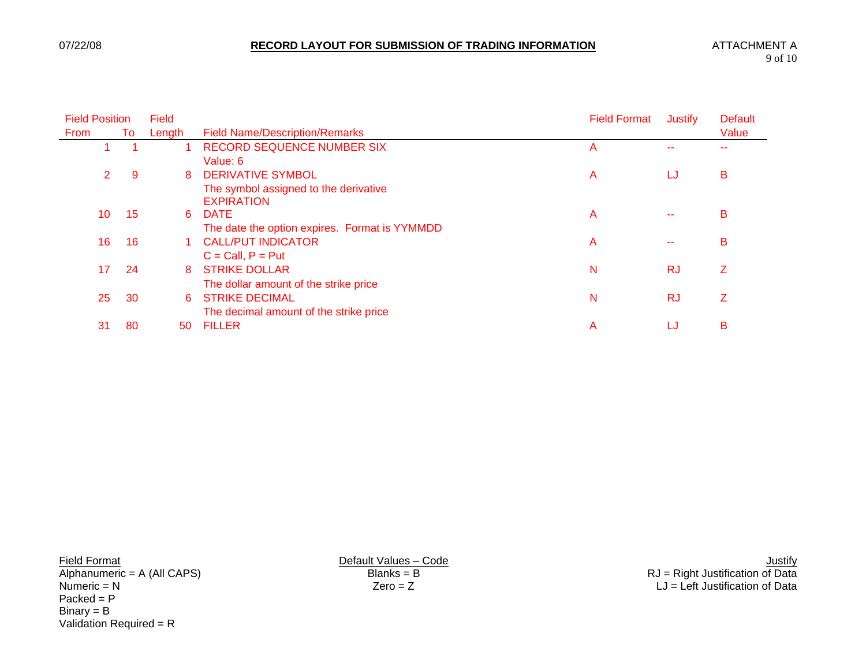| <b>Field Position</b> |    | Field  |                                               | <b>Field Format</b> | <b>Justify</b> | <b>Default</b> |  |
|-----------------------|----|--------|-----------------------------------------------|---------------------|----------------|----------------|--|
| <b>From</b>           | To | Length | <b>Field Name/Description/Remarks</b>         |                     |                | Value          |  |
|                       |    |        | RECORD SEQUENCE NUMBER SIX                    | Α                   |                |                |  |
|                       |    |        | Value: 6                                      |                     |                |                |  |
| 2                     | 9  | 8      | <b>DERIVATIVE SYMBOL</b>                      | A                   | LJ             | В              |  |
|                       |    |        | The symbol assigned to the derivative         |                     |                |                |  |
|                       |    |        | <b>EXPIRATION</b>                             |                     |                |                |  |
| 10                    | 15 | 6      | <b>DATE</b>                                   | A                   |                | B              |  |
|                       |    |        | The date the option expires. Format is YYMMDD |                     |                |                |  |
| 16                    | 16 |        | <b>CALL/PUT INDICATOR</b>                     | A                   |                | B              |  |
|                       |    |        | $C = Call, P = Put$                           |                     |                |                |  |
| 17                    | 24 | 8      | <b>STRIKE DOLLAR</b>                          | N                   | <b>RJ</b>      | Z              |  |
|                       |    |        | The dollar amount of the strike price         |                     |                |                |  |
| 25                    | 30 | 6      | <b>STRIKE DECIMAL</b>                         | N                   | <b>RJ</b>      | Ζ              |  |
|                       |    |        | The decimal amount of the strike price        |                     |                |                |  |
| 31                    | 80 | 50     | <b>FILLER</b>                                 | А                   | LJ             | в              |  |
|                       |    |        |                                               |                     |                |                |  |

 $Packet = P$  $Binary = B$ Validation Required = R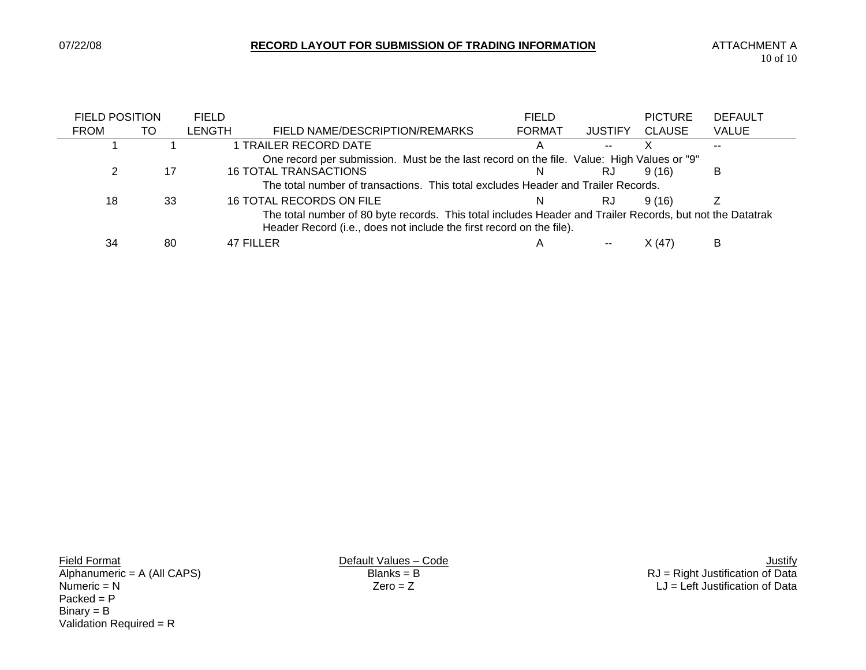e e

| <b>FIELD POSITION</b>                                                                                                                                                             |    | <b>FIELD</b>  |                                                                                           | <b>FIELD</b>  |                | <b>PICTURE</b> | <b>DEFAULT</b> |
|-----------------------------------------------------------------------------------------------------------------------------------------------------------------------------------|----|---------------|-------------------------------------------------------------------------------------------|---------------|----------------|----------------|----------------|
| <b>FROM</b>                                                                                                                                                                       | TO | <b>LENGTH</b> | FIELD NAME/DESCRIPTION/REMARKS                                                            | <b>FORMAT</b> | <b>JUSTIFY</b> | <b>CLAUSE</b>  | <b>VALUE</b>   |
|                                                                                                                                                                                   |    |               | 1 TRAILER RECORD DATE                                                                     |               | --             |                |                |
|                                                                                                                                                                                   |    |               | One record per submission. Must be the last record on the file. Value: High Values or "9" |               |                |                |                |
|                                                                                                                                                                                   | 17 |               | <b>16 TOTAL TRANSACTIONS</b>                                                              | N             | RJ             | 9(16)          | B              |
|                                                                                                                                                                                   |    |               | The total number of transactions. This total excludes Header and Trailer Records.         |               |                |                |                |
| 18                                                                                                                                                                                | 33 |               | 16 TOTAL RECORDS ON FILE                                                                  | N             | RJ             | 9(16)          |                |
| The total number of 80 byte records. This total includes Header and Trailer Records, but not the Datatrak<br>Header Record (i.e., does not include the first record on the file). |    |               |                                                                                           |               |                |                |                |
| 34                                                                                                                                                                                | 80 |               | 47 FILLER                                                                                 | A             |                | X(47)          | B              |

 $Packet = P$  $Binary = B$ Validation Required = R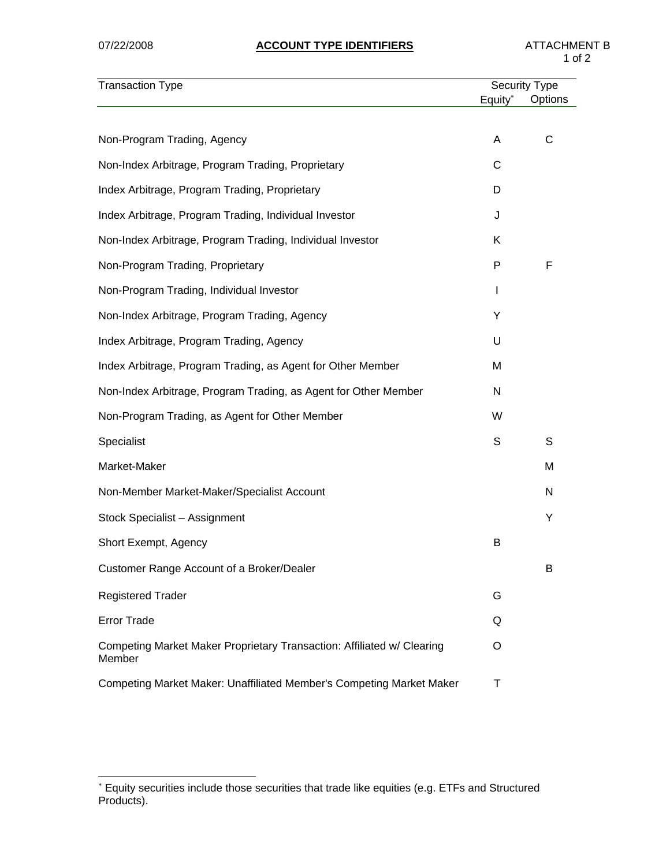| <b>Transaction Type</b>                                                          |                     | Security Type |
|----------------------------------------------------------------------------------|---------------------|---------------|
|                                                                                  | Equity <sup>*</sup> | Options       |
| Non-Program Trading, Agency                                                      | A                   | C             |
|                                                                                  |                     |               |
| Non-Index Arbitrage, Program Trading, Proprietary                                | С                   |               |
| Index Arbitrage, Program Trading, Proprietary                                    | D                   |               |
| Index Arbitrage, Program Trading, Individual Investor                            | J                   |               |
| Non-Index Arbitrage, Program Trading, Individual Investor                        | Κ                   |               |
| Non-Program Trading, Proprietary                                                 | P                   | F             |
| Non-Program Trading, Individual Investor                                         | I                   |               |
| Non-Index Arbitrage, Program Trading, Agency                                     | Y                   |               |
| Index Arbitrage, Program Trading, Agency                                         | U                   |               |
| Index Arbitrage, Program Trading, as Agent for Other Member                      | M                   |               |
| Non-Index Arbitrage, Program Trading, as Agent for Other Member                  | N                   |               |
| Non-Program Trading, as Agent for Other Member                                   | W                   |               |
| Specialist                                                                       | S                   | S             |
| Market-Maker                                                                     |                     | M             |
| Non-Member Market-Maker/Specialist Account                                       |                     | N             |
| Stock Specialist - Assignment                                                    |                     | Υ             |
| Short Exempt, Agency                                                             | B                   |               |
| Customer Range Account of a Broker/Dealer                                        |                     | B             |
| <b>Registered Trader</b>                                                         | G                   |               |
| <b>Error Trade</b>                                                               | Q                   |               |
| Competing Market Maker Proprietary Transaction: Affiliated w/ Clearing<br>Member | O                   |               |
| Competing Market Maker: Unaffiliated Member's Competing Market Maker             | Τ                   |               |

 ∗ Equity securities include those securities that trade like equities (e.g. ETFs and Structured Products).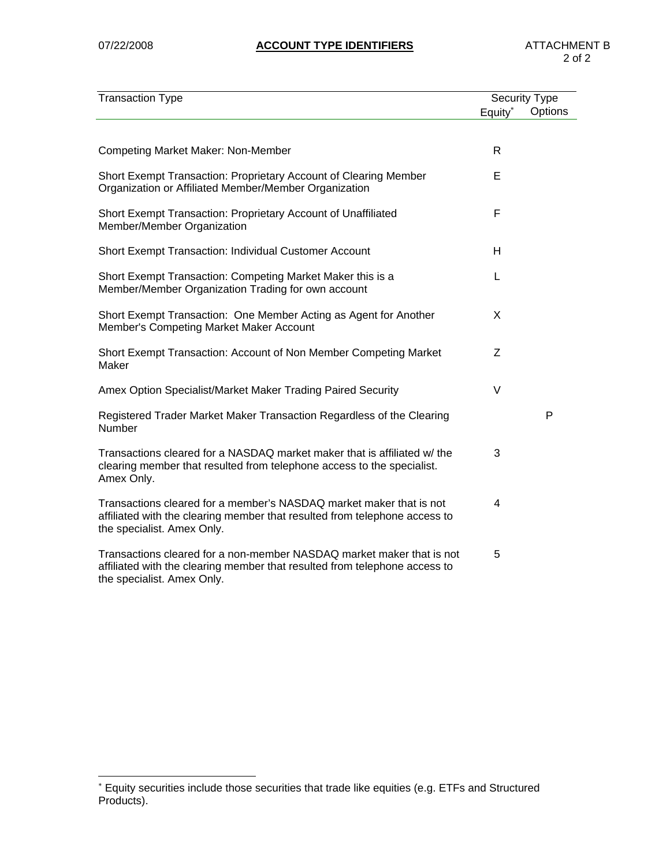| <b>Transaction Type</b>                                                                                                                                                           | <b>Security Type</b> |         |
|-----------------------------------------------------------------------------------------------------------------------------------------------------------------------------------|----------------------|---------|
|                                                                                                                                                                                   | Equity*              | Options |
|                                                                                                                                                                                   |                      |         |
| <b>Competing Market Maker: Non-Member</b>                                                                                                                                         | R                    |         |
| Short Exempt Transaction: Proprietary Account of Clearing Member<br>Organization or Affiliated Member/Member Organization                                                         | E                    |         |
| Short Exempt Transaction: Proprietary Account of Unaffiliated<br>Member/Member Organization                                                                                       | F                    |         |
| Short Exempt Transaction: Individual Customer Account                                                                                                                             | н                    |         |
| Short Exempt Transaction: Competing Market Maker this is a<br>Member/Member Organization Trading for own account                                                                  | L                    |         |
| Short Exempt Transaction: One Member Acting as Agent for Another<br>Member's Competing Market Maker Account                                                                       | X                    |         |
| Short Exempt Transaction: Account of Non Member Competing Market<br>Maker                                                                                                         | Z                    |         |
| Amex Option Specialist/Market Maker Trading Paired Security                                                                                                                       | $\vee$               |         |
| Registered Trader Market Maker Transaction Regardless of the Clearing<br>Number                                                                                                   |                      | P       |
| Transactions cleared for a NASDAQ market maker that is affiliated w/ the<br>clearing member that resulted from telephone access to the specialist.<br>Amex Only.                  | 3                    |         |
| Transactions cleared for a member's NASDAQ market maker that is not<br>affiliated with the clearing member that resulted from telephone access to<br>the specialist. Amex Only.   | 4                    |         |
| Transactions cleared for a non-member NASDAQ market maker that is not<br>affiliated with the clearing member that resulted from telephone access to<br>the specialist. Amex Only. | 5                    |         |

 ∗ Equity securities include those securities that trade like equities (e.g. ETFs and Structured Products).